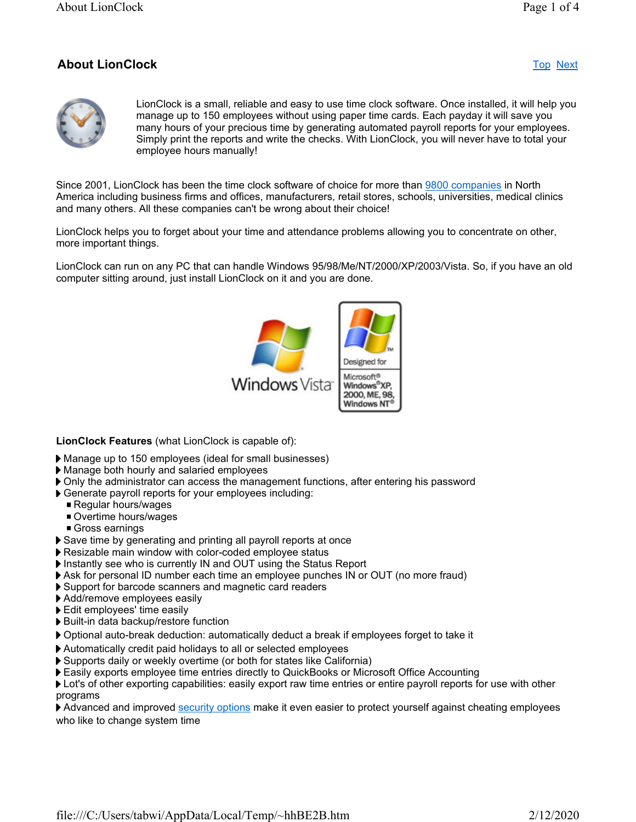# About LionClock Top Next



LionClock is a small, reliable and easy to use time clock software. Once installed, it will help you manage up to 150 employees without using paper time cards. Each payday it will save you many hours of your precious time by generating automated payroll reports for your employees. Simply print the reports and write the checks. With LionClock, you will never have to total your employee hours manually!

Since 2001, LionClock has been the time clock software of choice for more than 9800 companies in North America including business firms and offices, manufacturers, retail stores, schools, universities, medical clinics and many others. All these companies can't be wrong about their choice!

LionClock helps you to forget about your time and attendance problems allowing you to concentrate on other, more important things.

LionClock can run on any PC that can handle Windows 95/98/Me/NT/2000/XP/2003/Vista. So, if you have an old computer sitting around, just install LionClock on it and you are done.



LionClock Features (what LionClock is capable of):

- Manage up to 150 employees (ideal for small businesses)
- Manage both hourly and salaried employees
- Only the administrator can access the management functions, after entering his password
- Generate payroll reports for your employees including:
	- Regular hours/wages
	- Overtime hours/wages
	- Gross earnings
- Save time by generating and printing all payroll reports at once
- ▶ Resizable main window with color-coded employee status
- Instantly see who is currently IN and OUT using the Status Report
- Ask for personal ID number each time an employee punches IN or OUT (no more fraud)
- Support for barcode scanners and magnetic card readers
- Add/remove employees easily
- Edit employees' time easily
- Built-in data backup/restore function
- Optional auto-break deduction: automatically deduct a break if employees forget to take it
- Automatically credit paid holidays to all or selected employees
- Supports daily or weekly overtime (or both for states like California)
- Easily exports employee time entries directly to QuickBooks or Microsoft Office Accounting

**If** Lot's of other exporting capabilities: easily export raw time entries or entire payroll reports for use with other programs

Advanced and improved security options make it even easier to protect yourself against cheating employees who like to change system time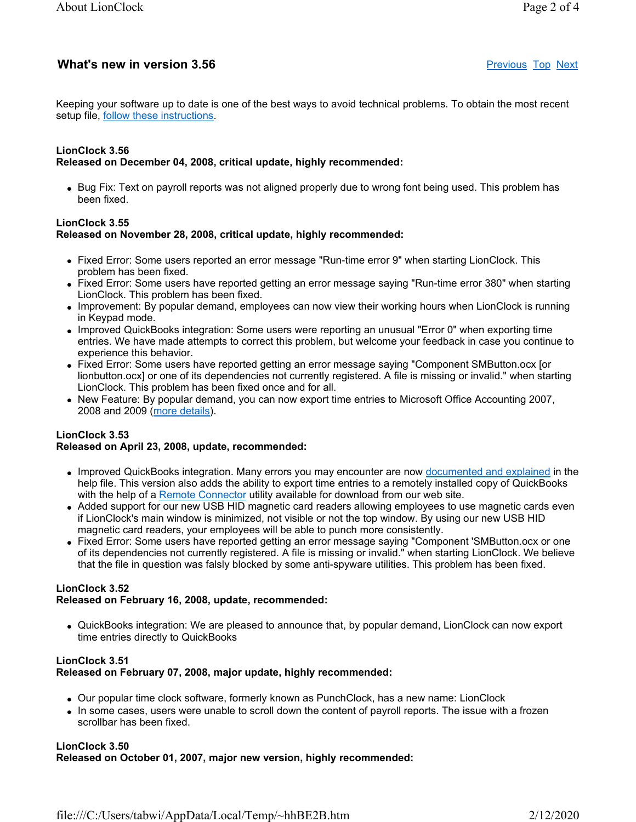# What's new in version 3.56 **Previous Top Next** extends the previous Top Next

Keeping your software up to date is one of the best ways to avoid technical problems. To obtain the most recent setup file, follow these instructions.

#### LionClock 3.56 Released on December 04, 2008, critical update, highly recommended:

• Bug Fix: Text on payroll reports was not aligned properly due to wrong font being used. This problem has been fixed.

## LionClock 3.55 Released on November 28, 2008, critical update, highly recommended:

- Fixed Error: Some users reported an error message "Run-time error 9" when starting LionClock. This problem has been fixed.
- Fixed Error: Some users have reported getting an error message saying "Run-time error 380" when starting LionClock. This problem has been fixed.
- Improvement: By popular demand, employees can now view their working hours when LionClock is running in Keypad mode.
- Improved QuickBooks integration: Some users were reporting an unusual "Error 0" when exporting time entries. We have made attempts to correct this problem, but welcome your feedback in case you continue to experience this behavior.
- Fixed Error: Some users have reported getting an error message saying "Component SMButton.ocx [or lionbutton.ocx] or one of its dependencies not currently registered. A file is missing or invalid." when starting LionClock. This problem has been fixed once and for all.
- New Feature: By popular demand, you can now export time entries to Microsoft Office Accounting 2007, 2008 and 2009 (more details).

# LionClock 3.53

# Released on April 23, 2008, update, recommended:

- Improved QuickBooks integration. Many errors you may encounter are now documented and explained in the help file. This version also adds the ability to export time entries to a remotely installed copy of QuickBooks with the help of a Remote Connector utility available for download from our web site.
- Added support for our new USB HID magnetic card readers allowing employees to use magnetic cards even if LionClock's main window is minimized, not visible or not the top window. By using our new USB HID magnetic card readers, your employees will be able to punch more consistently.
- Fixed Error: Some users have reported getting an error message saying "Component 'SMButton.ocx or one of its dependencies not currently registered. A file is missing or invalid." when starting LionClock. We believe that the file in question was falsly blocked by some anti-spyware utilities. This problem has been fixed.

# LionClock 3.52

# Released on February 16, 2008, update, recommended:

 QuickBooks integration: We are pleased to announce that, by popular demand, LionClock can now export time entries directly to QuickBooks

### LionClock 3.51 Released on February 07, 2008, major update, highly recommended:

- Our popular time clock software, formerly known as PunchClock, has a new name: LionClock
- In some cases, users were unable to scroll down the content of payroll reports. The issue with a frozen scrollbar has been fixed.

#### LionClock 3.50 Released on October 01, 2007, major new version, highly recommended: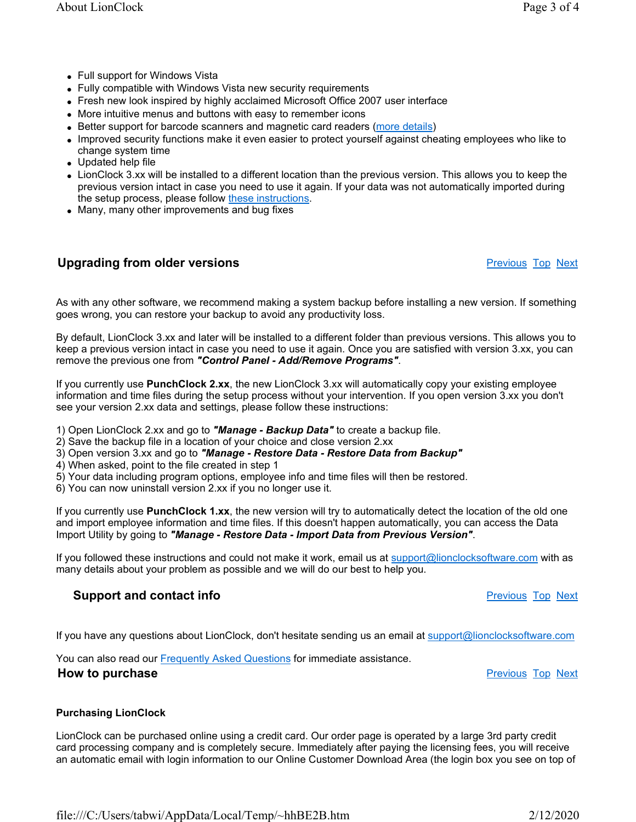LionClock 3.xx will be installed to a different location than the previous version. This allows you to keep the

change system time Updated help file

• Full support for Windows Vista

previous version intact in case you need to use it again. If your data was not automatically imported during the setup process, please follow these instructions.

Fully compatible with Windows Vista new security requirements

More intuitive menus and buttons with easy to remember icons

Fresh new look inspired by highly acclaimed Microsoft Office 2007 user interface

Better support for barcode scanners and magnetic card readers (more details)

• Many, many other improvements and bug fixes

#### **Upgrading from older versions Properties According Top Next** Previous Top Next

As with any other software, we recommend making a system backup before installing a new version. If something goes wrong, you can restore your backup to avoid any productivity loss.

Improved security functions make it even easier to protect yourself against cheating employees who like to

By default, LionClock 3.xx and later will be installed to a different folder than previous versions. This allows you to keep a previous version intact in case you need to use it again. Once you are satisfied with version 3.xx, you can remove the previous one from "Control Panel - Add/Remove Programs".

If you currently use PunchClock 2.xx, the new LionClock 3.xx will automatically copy your existing employee information and time files during the setup process without your intervention. If you open version 3.xx you don't see your version 2.xx data and settings, please follow these instructions:

- 1) Open LionClock 2.xx and go to **"Manage Backup Data"** to create a backup file.
- 2) Save the backup file in a location of your choice and close version 2.xx
- 3) Open version 3.xx and go to "Manage Restore Data Restore Data from Backup"
- 4) When asked, point to the file created in step 1
- 5) Your data including program options, employee info and time files will then be restored.
- 6) You can now uninstall version 2.xx if you no longer use it.

If you currently use PunchClock 1.xx, the new version will try to automatically detect the location of the old one and import employee information and time files. If this doesn't happen automatically, you can access the Data Import Utility by going to "Manage - Restore Data - Import Data from Previous Version".

If you followed these instructions and could not make it work, email us at  $\frac{support@lionclocksoftware.com}{bincheck$ many details about your problem as possible and we will do our best to help you.

#### **Support and contact info** Previous Top Next And The Previous Top Next And The Previous Top Next

If you have any questions about LionClock, don't hesitate sending us an email at support@lionclocksoftware.com

You can also read our **Frequently Asked Questions** for immediate assistance.

**How to purchase Previous Top Next Previous Top Next** 

#### Purchasing LionClock

LionClock can be purchased online using a credit card. Our order page is operated by a large 3rd party credit card processing company and is completely secure. Immediately after paying the licensing fees, you will receive an automatic email with login information to our Online Customer Download Area (the login box you see on top of

file:///C:/Users/tabwi/AppData/Local/Temp/~hhBE2B.htm 2/12/2020